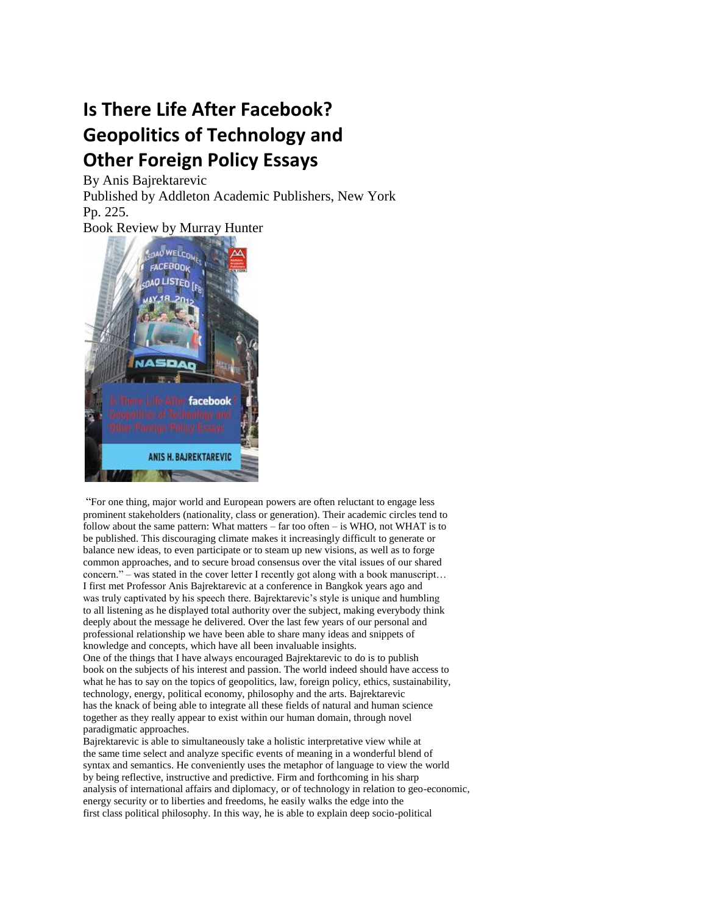## **Is There Life After Facebook? Geopolitics of Technology and Other Foreign Policy Essays**

By Anis Bajrektarevic Published by Addleton Academic Publishers, New York Pp. 225.

Book Review by Murray Hunter



"For one thing, major world and European powers are often reluctant to engage less prominent stakeholders (nationality, class or generation). Their academic circles tend to follow about the same pattern: What matters – far too often – is WHO, not WHAT is to be published. This discouraging climate makes it increasingly difficult to generate or balance new ideas, to even participate or to steam up new visions, as well as to forge common approaches, and to secure broad consensus over the vital issues of our shared concern." – was stated in the cover letter I recently got along with a book manuscript… I first met Professor Anis Bajrektarevic at a conference in Bangkok years ago and was truly captivated by his speech there. Bajrektarevic's style is unique and humbling to all listening as he displayed total authority over the subject, making everybody think deeply about the message he delivered. Over the last few years of our personal and professional relationship we have been able to share many ideas and snippets of knowledge and concepts, which have all been invaluable insights. One of the things that I have always encouraged Bajrektarevic to do is to publish book on the subjects of his interest and passion. The world indeed should have access to what he has to say on the topics of geopolitics, law, foreign policy, ethics, sustainability, technology, energy, political economy, philosophy and the arts. Bajrektarevic has the knack of being able to integrate all these fields of natural and human science together as they really appear to exist within our human domain, through novel paradigmatic approaches.

Bajrektarevic is able to simultaneously take a holistic interpretative view while at the same time select and analyze specific events of meaning in a wonderful blend of syntax and semantics. He conveniently uses the metaphor of language to view the world by being reflective, instructive and predictive. Firm and forthcoming in his sharp analysis of international affairs and diplomacy, or of technology in relation to geo-economic, energy security or to liberties and freedoms, he easily walks the edge into the first class political philosophy. In this way, he is able to explain deep socio-political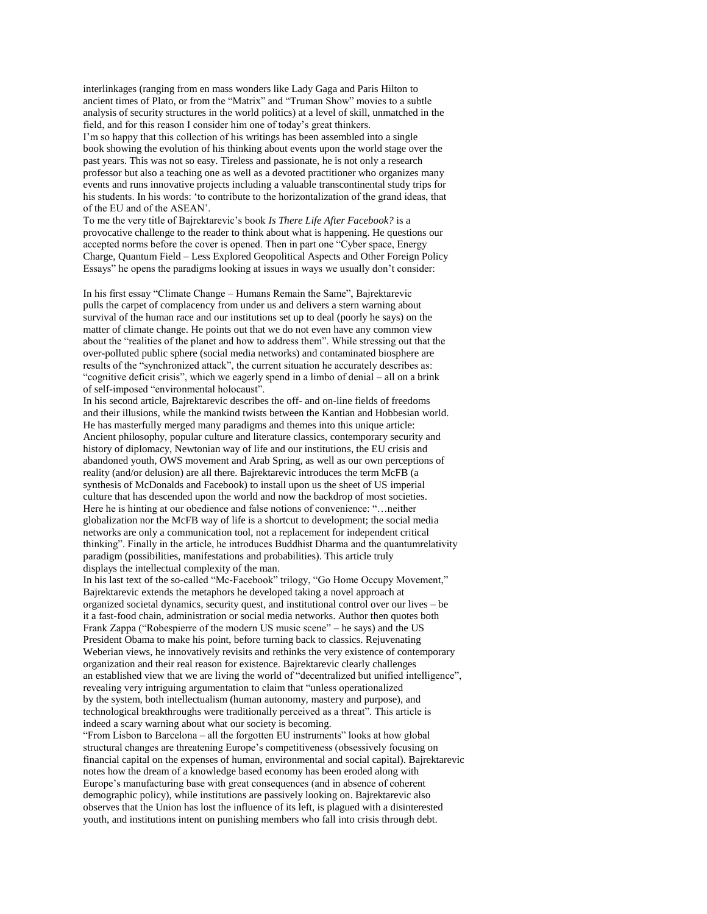interlinkages (ranging from en mass wonders like Lady Gaga and Paris Hilton to ancient times of Plato, or from the "Matrix" and "Truman Show" movies to a subtle analysis of security structures in the world politics) at a level of skill, unmatched in the field, and for this reason I consider him one of today"s great thinkers.

I"m so happy that this collection of his writings has been assembled into a single book showing the evolution of his thinking about events upon the world stage over the past years. This was not so easy. Tireless and passionate, he is not only a research professor but also a teaching one as well as a devoted practitioner who organizes many events and runs innovative projects including a valuable transcontinental study trips for his students. In his words: "to contribute to the horizontalization of the grand ideas, that of the EU and of the ASEAN".

To me the very title of Bajrektarevic"s book *Is There Life After Facebook?* is a provocative challenge to the reader to think about what is happening. He questions our accepted norms before the cover is opened. Then in part one "Cyber space, Energy Charge, Quantum Field – Less Explored Geopolitical Aspects and Other Foreign Policy Essays" he opens the paradigms looking at issues in ways we usually don"t consider:

In his first essay "Climate Change – Humans Remain the Same", Bajrektarevic pulls the carpet of complacency from under us and delivers a stern warning about survival of the human race and our institutions set up to deal (poorly he says) on the matter of climate change. He points out that we do not even have any common view about the "realities of the planet and how to address them". While stressing out that the over-polluted public sphere (social media networks) and contaminated biosphere are results of the "synchronized attack", the current situation he accurately describes as: "cognitive deficit crisis", which we eagerly spend in a limbo of denial – all on a brink of self-imposed "environmental holocaust".

In his second article, Bajrektarevic describes the off- and on-line fields of freedoms and their illusions, while the mankind twists between the Kantian and Hobbesian world. He has masterfully merged many paradigms and themes into this unique article: Ancient philosophy, popular culture and literature classics, contemporary security and history of diplomacy, Newtonian way of life and our institutions, the EU crisis and abandoned youth, OWS movement and Arab Spring, as well as our own perceptions of reality (and/or delusion) are all there. Bajrektarevic introduces the term McFB (a synthesis of McDonalds and Facebook) to install upon us the sheet of US imperial culture that has descended upon the world and now the backdrop of most societies. Here he is hinting at our obedience and false notions of convenience: "…neither globalization nor the McFB way of life is a shortcut to development; the social media networks are only a communication tool, not a replacement for independent critical thinking". Finally in the article, he introduces Buddhist Dharma and the quantumrelativity paradigm (possibilities, manifestations and probabilities). This article truly displays the intellectual complexity of the man.

In his last text of the so-called "Mc-Facebook" trilogy, "Go Home Occupy Movement," Bajrektarevic extends the metaphors he developed taking a novel approach at organized societal dynamics, security quest, and institutional control over our lives – be it a fast-food chain, administration or social media networks. Author then quotes both Frank Zappa ("Robespierre of the modern US music scene" – he says) and the US President Obama to make his point, before turning back to classics. Rejuvenating Weberian views, he innovatively revisits and rethinks the very existence of contemporary organization and their real reason for existence. Bajrektarevic clearly challenges an established view that we are living the world of "decentralized but unified intelligence", revealing very intriguing argumentation to claim that "unless operationalized by the system, both intellectualism (human autonomy, mastery and purpose), and technological breakthroughs were traditionally perceived as a threat". This article is indeed a scary warning about what our society is becoming.

"From Lisbon to Barcelona – all the forgotten EU instruments" looks at how global structural changes are threatening Europe"s competitiveness (obsessively focusing on financial capital on the expenses of human, environmental and social capital). Bajrektarevic notes how the dream of a knowledge based economy has been eroded along with Europe"s manufacturing base with great consequences (and in absence of coherent demographic policy), while institutions are passively looking on. Bajrektarevic also observes that the Union has lost the influence of its left, is plagued with a disinterested youth, and institutions intent on punishing members who fall into crisis through debt.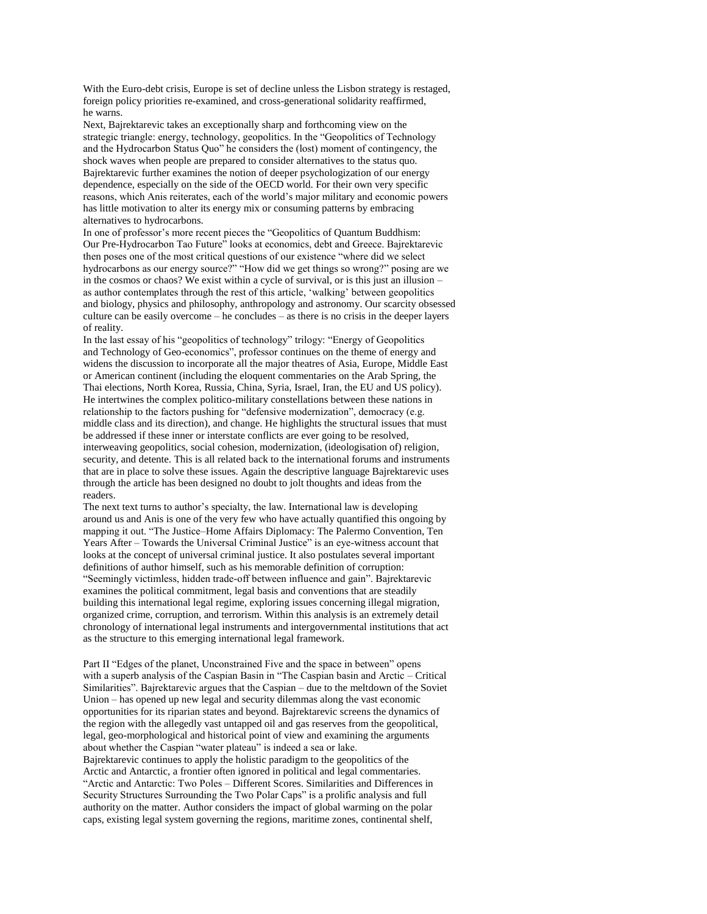With the Euro-debt crisis, Europe is set of decline unless the Lisbon strategy is restaged, foreign policy priorities re-examined, and cross-generational solidarity reaffirmed, he warns.

Next, Bajrektarevic takes an exceptionally sharp and forthcoming view on the strategic triangle: energy, technology, geopolitics. In the "Geopolitics of Technology and the Hydrocarbon Status Quo" he considers the (lost) moment of contingency, the shock waves when people are prepared to consider alternatives to the status quo. Bajrektarevic further examines the notion of deeper psychologization of our energy dependence, especially on the side of the OECD world. For their own very specific reasons, which Anis reiterates, each of the world"s major military and economic powers has little motivation to alter its energy mix or consuming patterns by embracing alternatives to hydrocarbons.

In one of professor's more recent pieces the "Geopolitics of Quantum Buddhism: Our Pre-Hydrocarbon Tao Future" looks at economics, debt and Greece. Bajrektarevic then poses one of the most critical questions of our existence "where did we select hydrocarbons as our energy source?" "How did we get things so wrong?" posing are we in the cosmos or chaos? We exist within a cycle of survival, or is this just an illusion – as author contemplates through the rest of this article, "walking" between geopolitics and biology, physics and philosophy, anthropology and astronomy. Our scarcity obsessed culture can be easily overcome – he concludes – as there is no crisis in the deeper layers of reality.

In the last essay of his "geopolitics of technology" trilogy: "Energy of Geopolitics and Technology of Geo-economics", professor continues on the theme of energy and widens the discussion to incorporate all the major theatres of Asia, Europe, Middle East or American continent (including the eloquent commentaries on the Arab Spring, the Thai elections, North Korea, Russia, China, Syria, Israel, Iran, the EU and US policy). He intertwines the complex politico-military constellations between these nations in relationship to the factors pushing for "defensive modernization", democracy (e.g. middle class and its direction), and change. He highlights the structural issues that must be addressed if these inner or interstate conflicts are ever going to be resolved, interweaving geopolitics, social cohesion, modernization, (ideologisation of) religion, security, and detente. This is all related back to the international forums and instruments that are in place to solve these issues. Again the descriptive language Bajrektarevic uses through the article has been designed no doubt to jolt thoughts and ideas from the readers.

The next text turns to author's specialty, the law. International law is developing around us and Anis is one of the very few who have actually quantified this ongoing by mapping it out. "The Justice–Home Affairs Diplomacy: The Palermo Convention, Ten Years After – Towards the Universal Criminal Justice" is an eye-witness account that looks at the concept of universal criminal justice. It also postulates several important definitions of author himself, such as his memorable definition of corruption: "Seemingly victimless, hidden trade-off between influence and gain". Bajrektarevic examines the political commitment, legal basis and conventions that are steadily building this international legal regime, exploring issues concerning illegal migration, organized crime, corruption, and terrorism. Within this analysis is an extremely detail chronology of international legal instruments and intergovernmental institutions that act as the structure to this emerging international legal framework.

Part II "Edges of the planet, Unconstrained Five and the space in between" opens with a superb analysis of the Caspian Basin in "The Caspian basin and Arctic – Critical Similarities". Bajrektarevic argues that the Caspian – due to the meltdown of the Soviet Union – has opened up new legal and security dilemmas along the vast economic opportunities for its riparian states and beyond. Bajrektarevic screens the dynamics of the region with the allegedly vast untapped oil and gas reserves from the geopolitical, legal, geo-morphological and historical point of view and examining the arguments about whether the Caspian "water plateau" is indeed a sea or lake. Bajrektarevic continues to apply the holistic paradigm to the geopolitics of the Arctic and Antarctic, a frontier often ignored in political and legal commentaries. "Arctic and Antarctic: Two Poles – Different Scores. Similarities and Differences in Security Structures Surrounding the Two Polar Caps" is a prolific analysis and full authority on the matter. Author considers the impact of global warming on the polar caps, existing legal system governing the regions, maritime zones, continental shelf,